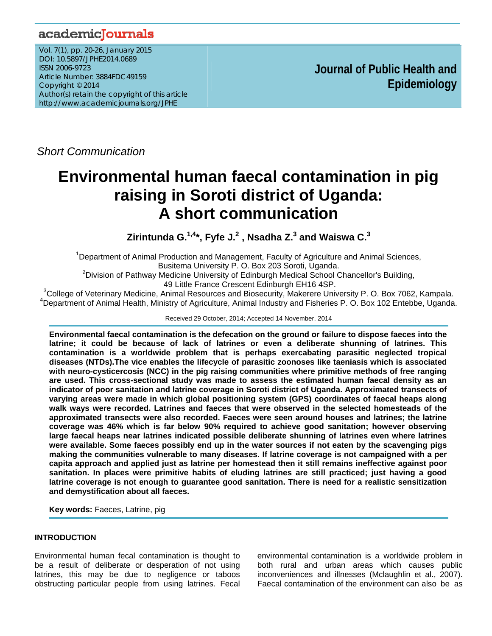# academicJournals

Vol. 7(1), pp. 20-26, January 2015 DOI: 10.5897/JPHE2014.0689 ISSN 2006-9723 Article Number: 3884FDC49159 Copyright © 2014 Author(s) retain the copyright of this article http://www.academicjournals.org/JPHE

 **Journal of Public Health and Epidemiology** 

*Short Communication*

# **Environmental human faecal contamination in pig raising in Soroti district of Uganda: A short communication**

Zirintunda G.<sup>1,4</sup>\*, Fyfe J.<sup>2</sup> , Nsadha Z.<sup>3</sup> and Waiswa C.<sup>3</sup>

<sup>1</sup>Department of Animal Production and Management, Faculty of Agriculture and Animal Sciences, Busitema University P. O. Box 203 Soroti, Uganda. 2

 $<sup>2</sup>$ Division of Pathway Medicine University of Edinburgh Medical School Chancellor's Building,</sup> 49 Little France Crescent Edinburgh EH16 4SP.<br><sup>3</sup>Cellege of Veterinary Medicine, Animal Besources and Biosequrity, Makerere Univ

<sup>3</sup>College of Veterinary Medicine, Animal Resources and Biosecurity, Makerere University P. O. Box 7062, Kampala.<br><sup>4</sup>Department of Animal Haelth, Ministry of Agriculture, Animal Industry and Fisheries B. O. Box 102 Entabb <sup>4</sup>Department of Animal Health, Ministry of Agriculture, Animal Industry and Fisheries P. O. Box 102 Entebbe, Uganda.

#### Received 29 October, 2014; Accepted 14 November, 2014

**Environmental faecal contamination is the defecation on the ground or failure to dispose faeces into the latrine; it could be because of lack of latrines or even a deliberate shunning of latrines. This contamination is a worldwide problem that is perhaps exercabating parasitic neglected tropical diseases (NTDs).The vice enables the lifecycle of parasitic zoonoses like taeniasis which is associated with neuro-cysticercosis (NCC) in the pig raising communities where primitive methods of free ranging are used. This cross-sectional study was made to assess the estimated human faecal density as an indicator of poor sanitation and latrine coverage in Soroti district of Uganda. Approximated transects of varying areas were made in which global positioning system (GPS) coordinates of faecal heaps along walk ways were recorded. Latrines and faeces that were observed in the selected homesteads of the approximated transects were also recorded. Faeces were seen around houses and latrines; the latrine coverage was 46% which is far below 90% required to achieve good sanitation; however observing large faecal heaps near latrines indicated possible deliberate shunning of latrines even where latrines were available. Some faeces possibly end up in the water sources if not eaten by the scavenging pigs making the communities vulnerable to many diseases. If latrine coverage is not campaigned with a per capita approach and applied just as latrine per homestead then it still remains ineffective against poor sanitation. In places were primitive habits of eluding latrines are still practiced; just having a good latrine coverage is not enough to guarantee good sanitation. There is need for a realistic sensitization and demystification about all faeces.** 

**Key words:** Faeces, Latrine, pig

## **INTRODUCTION**

Environmental human fecal contamination is thought to be a result of deliberate or desperation of not using latrines, this may be due to negligence or taboos obstructing particular people from using latrines. Fecal

environmental contamination is a worldwide problem in both rural and urban areas which causes public inconveniences and illnesses (Mclaughlin et al., 2007). Faecal contamination of the environment can also be as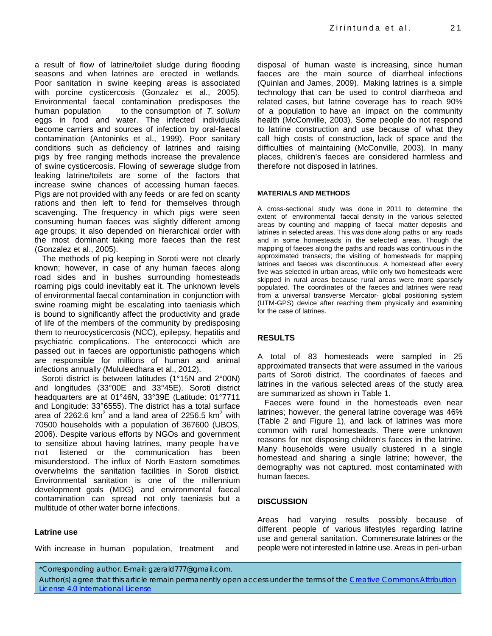a result of flow of latrine/toilet sludge during flooding seasons and when latrines are erected in wetlands. Poor sanitation in swine keeping areas is associated with porcine cysticercosis (Gonzalez et al., 2005). Environmental faecal contamination predisposes the human population to the consumption of *T. solium* eggs in food and water. The infected individuals become carriers and sources of infection by oral-faecal contamination (Antoninks et al., 1999). Poor sanitary conditions such as deficiency of latrines and raising pigs by free ranging methods increase the prevalence of swine cysticercosis. Flowing of sewerage sludge from leaking latrine/toilets are some of the factors that increase swine chances of accessing human faeces. Pigs are not provided with any feeds or are fed on scanty rations and then left to fend for themselves through scavenging. The frequency in which pigs were seen consuming human faeces was slightly different among age groups; it also depended on hierarchical order with the most dominant taking more faeces than the rest (Gonzalez et al., 2005).

The methods of pig keeping in Soroti were not clearly known; however, in case of any human faeces along road sides and in bushes surrounding homesteads roaming pigs could inevitably eat it. The unknown levels of environmental faecal contamination in conjunction with swine roaming might be escalating into taeniasis which is bound to significantly affect the productivity and grade of life of the members of the community by predisposing them to neurocysticercosis (NCC), epilepsy, hepatitis and psychiatric complications. The enterococci which are passed out in faeces are opportunistic pathogens which are responsible for millions of human and animal infections annually (Mululeedhara et al., 2012).

Soroti district is between latitudes (1°15N and 2°00N) and longitudes (33°00E and 33°45E). Soroti district headquarters are at 01°46N, 33°39E (Latitude: 01°7711 and Longitude: 33°6555). The district has a total surface area of  $\text{2262.6 km}^2$  and a land area of 2256.5 km<sup>2</sup> with 70500 households with a population of 367600 (UBOS, 2006). Despite various efforts by NGOs and government to sensitize about having latrines, many people have not listened or the communication has been misunderstood. The influx of North Eastern sometimes overwhelms the sanitation facilities in Soroti district. Environmental sanitation is one of the millennium development goals (MDG) and environmental faecal contamination can spread not only taeniasis but a multitude of other water borne infections.

## **Latrine use**

With increase in human population, treatment and

disposal of human waste is increasing, since human faeces are the main source of diarrheal infections (Quinlan and James, 2009). Making latrines is a simple technology that can be used to control diarrheoa and related cases, but latrine coverage has to reach 90% of a population to have an impact on the community health (McConville, 2003). Some people do not respond to latrine construction and use because of what they call high costs of construction, lack of space and the difficulties of maintaining (McConville, 2003). In many places, children's faeces are considered harmless and therefore not disposed in latrines.

#### **MATERIALS AND METHODS**

A cross-sectional study was done in 2011 to determine the extent of environmental faecal density in the various selected areas by counting and mapping of faecal matter deposits and latrines in selected areas. This was done along paths or any roads and in some homesteads in the selected areas. Though the mapping of faeces along the paths and roads was continuous in the approximated transects; the visiting of homesteads for mapping latrines and faeces was discontinuous. A homestead after every five was selected in urban areas, while only two homesteads were skipped in rural areas because rural areas were more sparsely populated. The coordinates of the faeces and latrines were read from a universal transverse Mercator- global positioning system (UTM-GPS) device after reaching them physically and examining for the case of latrines.

## **RESULTS**

A total of 83 homesteads were sampled in 25 approximated transects that were assumed in the various parts of Soroti district. The coordinates of faeces and latrines in the various selected areas of the study area are summarized as shown in Table 1.

Faeces were found in the homesteads even near latrines; however, the general latrine coverage was 46% (Table 2 and Figure 1), and lack of latrines was more common with rural homesteads. There were unknown reasons for not disposing children's faeces in the latrine. Many households were usually clustered in a single homestead and sharing a single latrine; however, the demography was not captured. most contaminated with human faeces.

## **DISCUSSION**

Areas had varying results possibly because of different people of various lifestyles regarding latrine use and general sanitation. Commensurate latrines or the people were not interested in latrine use. Areas in peri-urban

\*Corresponding author. E-mail: gzerald777@gmail.com.

Author(s) agree that this article remain permanently open access under the terms of the Creative Commons Attribution License 4.0 International License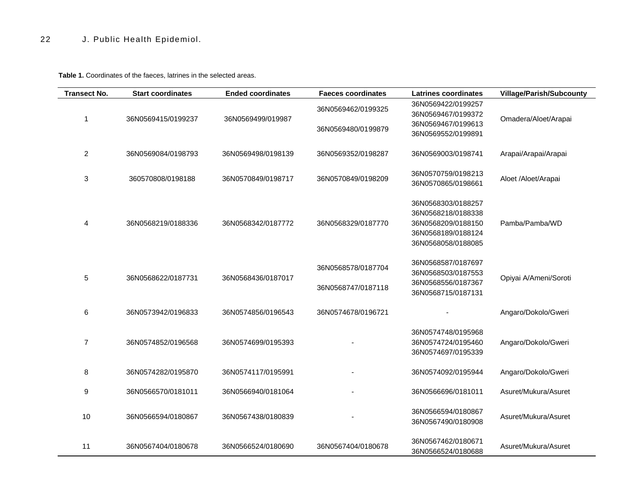**Table 1.** Coordinates of the faeces, latrines in the selected areas.

| <b>Transect No.</b> | <b>Start coordinates</b> | <b>Ended coordinates</b> | <b>Faeces coordinates</b>                | <b>Latrines coordinates</b>                                                                                | <b>Village/Parish/Subcounty</b> |
|---------------------|--------------------------|--------------------------|------------------------------------------|------------------------------------------------------------------------------------------------------------|---------------------------------|
| 1                   | 36N0569415/0199237       |                          | 36N0569462/0199325                       | 36N0569422/0199257<br>36N0569467/0199372                                                                   |                                 |
|                     |                          | 36N0569499/019987        | 36N0569480/0199879                       | 36N0569467/0199613<br>36N0569552/0199891                                                                   | Omadera/Aloet/Arapai            |
| 2                   | 36N0569084/0198793       | 36N0569498/0198139       | 36N0569352/0198287                       | 36N0569003/0198741                                                                                         | Arapai/Arapai/Arapai            |
| 3                   | 360570808/0198188        | 36N0570849/0198717       | 36N0570849/0198209                       | 36N0570759/0198213<br>36N0570865/0198661                                                                   | Aloet /Aloet/Arapai             |
| 4                   | 36N0568219/0188336       | 36N0568342/0187772       | 36N0568329/0187770                       | 36N0568303/0188257<br>36N0568218/0188338<br>36N0568209/0188150<br>36N0568189/0188124<br>36N0568058/0188085 | Pamba/Pamba/WD                  |
| 5                   | 36N0568622/0187731       | 36N0568436/0187017       | 36N0568578/0187704<br>36N0568747/0187118 | 36N0568587/0187697<br>36N0568503/0187553<br>36N0568556/0187367<br>36N0568715/0187131                       | Opiyai A/Ameni/Soroti           |
| 6                   | 36N0573942/0196833       | 36N0574856/0196543       | 36N0574678/0196721                       |                                                                                                            | Angaro/Dokolo/Gweri             |
| 7                   | 36N0574852/0196568       | 36N0574699/0195393       |                                          | 36N0574748/0195968<br>36N0574724/0195460<br>36N0574697/0195339                                             | Angaro/Dokolo/Gweri             |
| 8                   | 36N0574282/0195870       | 36N0574117/0195991       |                                          | 36N0574092/0195944                                                                                         | Angaro/Dokolo/Gweri             |
| 9                   | 36N0566570/0181011       | 36N0566940/0181064       |                                          | 36N0566696/0181011                                                                                         | Asuret/Mukura/Asuret            |
| 10                  | 36N0566594/0180867       | 36N0567438/0180839       |                                          | 36N0566594/0180867<br>36N0567490/0180908                                                                   | Asuret/Mukura/Asuret            |
| 11                  | 36N0567404/0180678       | 36N0566524/0180690       | 36N0567404/0180678                       | 36N0567462/0180671<br>36N0566524/0180688                                                                   | Asuret/Mukura/Asuret            |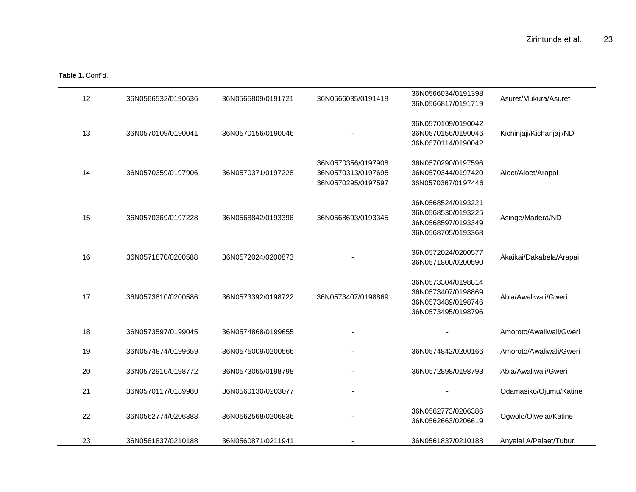**Table 1.** Cont"d.

| 12 | 36N0566532/0190636 | 36N0565809/0191721 | 36N0566035/0191418                                             | 36N0566034/0191398<br>36N0566817/0191719                                             | Asuret/Mukura/Asuret     |
|----|--------------------|--------------------|----------------------------------------------------------------|--------------------------------------------------------------------------------------|--------------------------|
| 13 | 36N0570109/0190041 | 36N0570156/0190046 |                                                                | 36N0570109/0190042<br>36N0570156/0190046<br>36N0570114/0190042                       | Kichinjaji/Kichanjaji/ND |
| 14 | 36N0570359/0197906 | 36N0570371/0197228 | 36N0570356/0197908<br>36N0570313/0197695<br>36N0570295/0197597 | 36N0570290/0197596<br>36N0570344/0197420<br>36N0570367/0197446                       | Aloet/Aloet/Arapai       |
| 15 | 36N0570369/0197228 | 36N0568842/0193396 | 36N0568693/0193345                                             | 36N0568524/0193221<br>36N0568530/0193225<br>36N0568597/0193349<br>36N0568705/0193368 | Asinge/Madera/ND         |
| 16 | 36N0571870/0200588 | 36N0572024/0200873 |                                                                | 36N0572024/0200577<br>36N0571800/0200590                                             | Akaikai/Dakabela/Arapai  |
| 17 | 36N0573810/0200586 | 36N0573392/0198722 | 36N0573407/0198869                                             | 36N0573304/0198814<br>36N0573407/0198869<br>36N0573489/0198746<br>36N0573495/0198796 | Abia/Awaliwali/Gweri     |
| 18 | 36N0573597/0199045 | 36N0574868/0199655 |                                                                |                                                                                      | Amoroto/Awaliwali/Gweri  |
| 19 | 36N0574874/0199659 | 36N0575009/0200566 |                                                                | 36N0574842/0200166                                                                   | Amoroto/Awaliwali/Gweri  |
| 20 | 36N0572910/0198772 | 36N0573065/0198798 |                                                                | 36N0572898/0198793                                                                   | Abia/Awaliwali/Gweri     |
| 21 | 36N0570117/0189980 | 36N0560130/0203077 |                                                                |                                                                                      | Odamasiko/Ojumu/Katine   |
| 22 | 36N0562774/0206388 | 36N0562568/0206836 |                                                                | 36N0562773/0206386<br>36N0562663/0206619                                             | Ogwolo/Olwelai/Katine    |
| 23 | 36N0561837/0210188 | 36N0560871/0211941 |                                                                | 36N0561837/0210188                                                                   | Anyalai A/Palaet/Tubur   |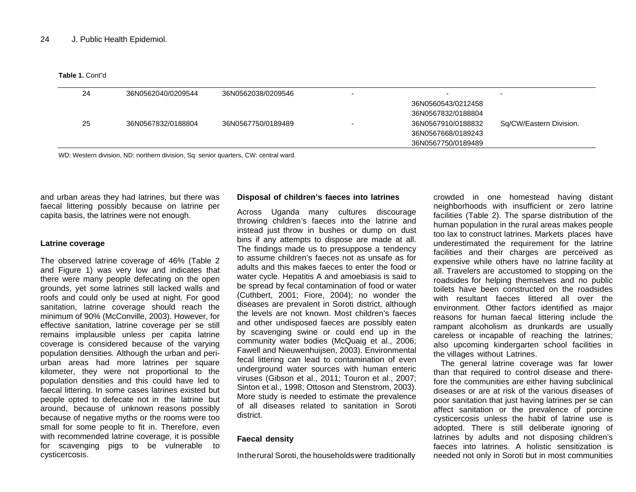**Table 1.** Cont"d

| 24 | 36N0562040/0209544 | 36N0562038/0209546 | $\overline{\phantom{0}}$ |                         |
|----|--------------------|--------------------|--------------------------|-------------------------|
|    |                    |                    | 36N0560543/0212458       |                         |
|    |                    |                    | 36N0567832/0188804       |                         |
| 25 | 36N0567832/0188804 | 36N0567750/0189489 | 36N0567910/0188832       | Sq/CW/Eastern Division. |
|    |                    |                    | 36N0567668/0189243       |                         |
|    |                    |                    | 36N0567750/0189489       |                         |
|    |                    |                    |                          |                         |

WD: Western division, ND: northern division, Sq: senior quarters, CW: central ward.

and urban areas they had latrines, but there was faecal littering possibly because on latrine per capita basis, the latrines were not enough.

#### **Latrine coverage**

The observed latrine coverage of 46% (Table 2 and Figure 1) was very low and indicates that there were many people defecating on the open grounds, yet some latrines still lacked walls and roofs and could only be used at night. For good sanitation, latrine coverage should reach the minimum of 90% (McConville, 2003). However, for effective sanitation, latrine coverage per se still remains implausible unless per capita latrine coverage is considered because of the varying population densities. Although the urban and periurban areas had more latrines per square kilometer, they were not proportional to the population densities and this could have led to faecal littering. In some cases latrines existed but people opted to defecate not in the latrine but around, because of unknown reasons possibly because of negative myths or the rooms were too small for some people to fit in. Therefore, even with recommended latrine coverage, it is possible for scavenging pigs to be vulnerable to cysticercosis.

#### **Disposal of children's faeces into latrines**

Across Uganda many cultures discourage throwing children's faeces into the latrine and instead just throw in bushes or dump on dust bins if any attempts to dispose are made at all. The findings made us to presuppose a tendency to assume children's faeces not as unsafe as for adults and this makes faeces to enter the food or water cycle. Hepatitis A and amoebiasis is said to be spread by fecal contamination of food or water (Cuthbert, 2001; Fiore, 2004); no wonder the diseases are prevalent in Soroti district, although the levels are not known. Most children's faeces and other undisposed faeces are possibly eaten by scavenging swine or could end up in the community water bodies (McQuaig et al., 2006; Fawell and Nieuwenhuijsen, 2003). Environmental fecal littering can lead to contamination of even underground water sources with human enteric viruses (Gibson et al., 2011; Touron et al., 2007; Sinton et al., 1998; Ottoson and Stenstrom, 2003). More study is needed to estimate the prevalence of all diseases related to sanitation in Soroti district.

#### **Faecal density**

Intherural Soroti, the householdswere traditionally

crowded in one homestead having distant neighborhoods with insufficient or zero latrine facilities (Table 2). The sparse distribution of the human population in the rural areas makes people too lax to construct latrines. Markets places have underestimated the requirement for the latrine facilities and their charges are perceived as expensive while others have no latrine facility at all. Travelers are accustomed to stopping on the roadsides for helping themselves and no public toilets have been constructed on the roadsides with resultant faeces littered all over the environment. Other factors identified as major reasons for human faecal littering include the rampant alcoholism as drunkards are usually careless or incapable of reaching the latrines; also upcoming kindergarten school facilities in the villages without Latrines.

The general latrine coverage was far lower than that required to control disease and therefore the communities are either having subclinical diseases or are at risk of the various diseases of poor sanitation that just having latrines per se can affect sanitation or the prevalence of porcine cysticercosis unless the habit of latrine use is adopted. There is still deliberate ignoring of latrines by adults and not disposing children's faeces into latrines. A holistic sensitization is needed not only in Soroti but in most communities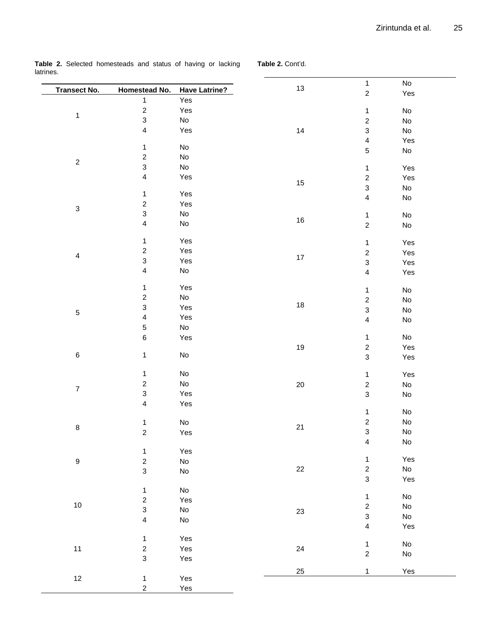**Table 2.** Selected homesteads and status of having or lacking latrines.

**Table 2.** Cont'd.

|                                                                                                                                                                       |                           |                              | 13     | $\mathbf{1}$                                                                                                                                                                                                                                                                                                                                                                                                                                                                                                                                                                                                                                                                                                                                                                                                                                                                                                                                                                                                                                                                                                                                                                                                                                                                                                                                                                  | $\mathsf{No}$                                                                                         |  |
|-----------------------------------------------------------------------------------------------------------------------------------------------------------------------|---------------------------|------------------------------|--------|-------------------------------------------------------------------------------------------------------------------------------------------------------------------------------------------------------------------------------------------------------------------------------------------------------------------------------------------------------------------------------------------------------------------------------------------------------------------------------------------------------------------------------------------------------------------------------------------------------------------------------------------------------------------------------------------------------------------------------------------------------------------------------------------------------------------------------------------------------------------------------------------------------------------------------------------------------------------------------------------------------------------------------------------------------------------------------------------------------------------------------------------------------------------------------------------------------------------------------------------------------------------------------------------------------------------------------------------------------------------------------|-------------------------------------------------------------------------------------------------------|--|
|                                                                                                                                                                       | Homestead No.             | <b>Have Latrine?</b>         |        |                                                                                                                                                                                                                                                                                                                                                                                                                                                                                                                                                                                                                                                                                                                                                                                                                                                                                                                                                                                                                                                                                                                                                                                                                                                                                                                                                                               |                                                                                                       |  |
|                                                                                                                                                                       | $\mathbf{1}$              | Yes                          |        |                                                                                                                                                                                                                                                                                                                                                                                                                                                                                                                                                                                                                                                                                                                                                                                                                                                                                                                                                                                                                                                                                                                                                                                                                                                                                                                                                                               |                                                                                                       |  |
|                                                                                                                                                                       | $\boldsymbol{2}$          | Yes                          |        |                                                                                                                                                                                                                                                                                                                                                                                                                                                                                                                                                                                                                                                                                                                                                                                                                                                                                                                                                                                                                                                                                                                                                                                                                                                                                                                                                                               |                                                                                                       |  |
|                                                                                                                                                                       | $\mathbf{3}$              | $\mathsf{No}$                |        |                                                                                                                                                                                                                                                                                                                                                                                                                                                                                                                                                                                                                                                                                                                                                                                                                                                                                                                                                                                                                                                                                                                                                                                                                                                                                                                                                                               |                                                                                                       |  |
|                                                                                                                                                                       | $\overline{\mathbf{4}}$   | Yes                          | 14     |                                                                                                                                                                                                                                                                                                                                                                                                                                                                                                                                                                                                                                                                                                                                                                                                                                                                                                                                                                                                                                                                                                                                                                                                                                                                                                                                                                               |                                                                                                       |  |
|                                                                                                                                                                       |                           |                              |        |                                                                                                                                                                                                                                                                                                                                                                                                                                                                                                                                                                                                                                                                                                                                                                                                                                                                                                                                                                                                                                                                                                                                                                                                                                                                                                                                                                               |                                                                                                       |  |
|                                                                                                                                                                       | $\mathbf{1}$              | $\operatorname{\mathsf{No}}$ |        |                                                                                                                                                                                                                                                                                                                                                                                                                                                                                                                                                                                                                                                                                                                                                                                                                                                                                                                                                                                                                                                                                                                                                                                                                                                                                                                                                                               |                                                                                                       |  |
|                                                                                                                                                                       | $\boldsymbol{2}$          | $\mathsf{No}$                |        |                                                                                                                                                                                                                                                                                                                                                                                                                                                                                                                                                                                                                                                                                                                                                                                                                                                                                                                                                                                                                                                                                                                                                                                                                                                                                                                                                                               |                                                                                                       |  |
|                                                                                                                                                                       | $\mathsf 3$               | $\operatorname{\mathsf{No}}$ |        |                                                                                                                                                                                                                                                                                                                                                                                                                                                                                                                                                                                                                                                                                                                                                                                                                                                                                                                                                                                                                                                                                                                                                                                                                                                                                                                                                                               |                                                                                                       |  |
|                                                                                                                                                                       | $\overline{\mathbf{4}}$   | Yes                          | 15     |                                                                                                                                                                                                                                                                                                                                                                                                                                                                                                                                                                                                                                                                                                                                                                                                                                                                                                                                                                                                                                                                                                                                                                                                                                                                                                                                                                               |                                                                                                       |  |
|                                                                                                                                                                       | $\mathbf{1}$              | Yes                          |        |                                                                                                                                                                                                                                                                                                                                                                                                                                                                                                                                                                                                                                                                                                                                                                                                                                                                                                                                                                                                                                                                                                                                                                                                                                                                                                                                                                               |                                                                                                       |  |
|                                                                                                                                                                       | $\overline{\mathbf{c}}$   | Yes                          |        |                                                                                                                                                                                                                                                                                                                                                                                                                                                                                                                                                                                                                                                                                                                                                                                                                                                                                                                                                                                                                                                                                                                                                                                                                                                                                                                                                                               |                                                                                                       |  |
| $\ensuremath{\mathsf{3}}$                                                                                                                                             |                           |                              |        |                                                                                                                                                                                                                                                                                                                                                                                                                                                                                                                                                                                                                                                                                                                                                                                                                                                                                                                                                                                                                                                                                                                                                                                                                                                                                                                                                                               |                                                                                                       |  |
|                                                                                                                                                                       | 3                         | $\mathsf{No}$                | $16\,$ |                                                                                                                                                                                                                                                                                                                                                                                                                                                                                                                                                                                                                                                                                                                                                                                                                                                                                                                                                                                                                                                                                                                                                                                                                                                                                                                                                                               |                                                                                                       |  |
|                                                                                                                                                                       | 4                         | $\mathsf{No}$                |        | $\sqrt{2}$<br>$\mathsf{No}$<br>$\mathbf{1}$<br>$\sqrt{2}$<br>$\mathsf{No}$<br>$\ensuremath{\mathsf{3}}$<br>No<br>$\overline{\mathbf{4}}$<br>$\mathbf 5$<br>$\operatorname{\mathsf{No}}$<br>$\mathbf{1}$<br>$\boldsymbol{2}$<br>$\mathsf 3$<br>$\mathsf{No}$<br>$\overline{4}$<br>$\mathsf{No}$<br>$\mathbf 1$<br>$\mathsf{No}$<br>$\boldsymbol{2}$<br>$\operatorname{\mathsf{No}}$<br>$\mathbf{1}$<br>$\boldsymbol{2}$<br>$\mathsf 3$<br>$\overline{\mathbf{4}}$<br>$\mathsf{No}$<br>$\mathbf{1}$<br>$\boldsymbol{2}$<br>$\mathsf{No}$<br>$\ensuremath{\mathsf{3}}$<br>$\mathsf{No}$<br>$\overline{\mathbf{4}}$<br>$\mathsf{No}$<br>$\mathsf{No}$<br>$\mathbf{1}$<br>$\boldsymbol{2}$<br>$\mathsf 3$<br>$\mathbf{1}$<br>$\mathbf 2$<br>$\mathsf{No}$<br>$\mathsf 3$<br>$\mathsf{No}$<br>$\operatorname{\mathsf{No}}$<br>$\mathbf{1}$<br>$\boldsymbol{2}$<br>$\operatorname{\mathsf{No}}$<br>$\mathsf 3$<br>$\operatorname{\mathsf{No}}$<br>$\overline{\mathbf{4}}$<br>$\operatorname{\mathsf{No}}$<br>$\mathbf{1}$<br>$\boldsymbol{2}$<br>$\operatorname{\mathsf{No}}$<br>$\ensuremath{\mathsf{3}}$<br>$\mathsf{No}$<br>$\mathbf{1}$<br>$\boldsymbol{2}$<br>$\operatorname{\mathsf{No}}$<br>$\ensuremath{\mathsf{3}}$<br>${\sf No}$<br>$\overline{\mathbf{4}}$<br>$\operatorname{\mathsf{No}}$<br>$\mathbf{1}$<br>$\mathbf 2$<br>$\operatorname{\mathsf{No}}$<br>$\mathbf{1}$ |                                                                                                       |  |
|                                                                                                                                                                       | $\mathbf{1}$              | Yes                          |        |                                                                                                                                                                                                                                                                                                                                                                                                                                                                                                                                                                                                                                                                                                                                                                                                                                                                                                                                                                                                                                                                                                                                                                                                                                                                                                                                                                               |                                                                                                       |  |
|                                                                                                                                                                       | $\overline{c}$            | Yes                          |        |                                                                                                                                                                                                                                                                                                                                                                                                                                                                                                                                                                                                                                                                                                                                                                                                                                                                                                                                                                                                                                                                                                                                                                                                                                                                                                                                                                               |                                                                                                       |  |
| <b>Transect No.</b><br>$\mathbf{1}$<br>$\sqrt{2}$<br>$\overline{4}$<br>$\sqrt{5}$<br>$\,6\,$<br>$\boldsymbol{7}$<br>$\bf 8$<br>$\boldsymbol{9}$<br>$10$<br>11<br>$12$ | $\mathsf 3$               | Yes                          | $17\,$ |                                                                                                                                                                                                                                                                                                                                                                                                                                                                                                                                                                                                                                                                                                                                                                                                                                                                                                                                                                                                                                                                                                                                                                                                                                                                                                                                                                               |                                                                                                       |  |
|                                                                                                                                                                       | 4                         | $\operatorname{\mathsf{No}}$ |        |                                                                                                                                                                                                                                                                                                                                                                                                                                                                                                                                                                                                                                                                                                                                                                                                                                                                                                                                                                                                                                                                                                                                                                                                                                                                                                                                                                               |                                                                                                       |  |
|                                                                                                                                                                       |                           |                              |        |                                                                                                                                                                                                                                                                                                                                                                                                                                                                                                                                                                                                                                                                                                                                                                                                                                                                                                                                                                                                                                                                                                                                                                                                                                                                                                                                                                               | Yes<br>Yes<br>Yes<br>Yes<br>Yes<br>Yes<br>Yes<br>Yes<br>Yes<br>Yes<br>Yes<br>Yes<br>Yes<br>Yes<br>Yes |  |
|                                                                                                                                                                       | $\mathbf{1}$              | Yes                          |        |                                                                                                                                                                                                                                                                                                                                                                                                                                                                                                                                                                                                                                                                                                                                                                                                                                                                                                                                                                                                                                                                                                                                                                                                                                                                                                                                                                               |                                                                                                       |  |
|                                                                                                                                                                       | $\overline{c}$            | $\operatorname{\mathsf{No}}$ |        |                                                                                                                                                                                                                                                                                                                                                                                                                                                                                                                                                                                                                                                                                                                                                                                                                                                                                                                                                                                                                                                                                                                                                                                                                                                                                                                                                                               |                                                                                                       |  |
|                                                                                                                                                                       | 3                         | Yes                          | $18\,$ |                                                                                                                                                                                                                                                                                                                                                                                                                                                                                                                                                                                                                                                                                                                                                                                                                                                                                                                                                                                                                                                                                                                                                                                                                                                                                                                                                                               |                                                                                                       |  |
|                                                                                                                                                                       | 4                         | Yes                          |        |                                                                                                                                                                                                                                                                                                                                                                                                                                                                                                                                                                                                                                                                                                                                                                                                                                                                                                                                                                                                                                                                                                                                                                                                                                                                                                                                                                               |                                                                                                       |  |
|                                                                                                                                                                       | 5                         | $\mathsf{No}$                |        |                                                                                                                                                                                                                                                                                                                                                                                                                                                                                                                                                                                                                                                                                                                                                                                                                                                                                                                                                                                                                                                                                                                                                                                                                                                                                                                                                                               |                                                                                                       |  |
|                                                                                                                                                                       | $\,6$                     | Yes                          |        |                                                                                                                                                                                                                                                                                                                                                                                                                                                                                                                                                                                                                                                                                                                                                                                                                                                                                                                                                                                                                                                                                                                                                                                                                                                                                                                                                                               |                                                                                                       |  |
|                                                                                                                                                                       |                           |                              | 19     |                                                                                                                                                                                                                                                                                                                                                                                                                                                                                                                                                                                                                                                                                                                                                                                                                                                                                                                                                                                                                                                                                                                                                                                                                                                                                                                                                                               |                                                                                                       |  |
|                                                                                                                                                                       | $\mathbf{1}$              | $\operatorname{\mathsf{No}}$ |        |                                                                                                                                                                                                                                                                                                                                                                                                                                                                                                                                                                                                                                                                                                                                                                                                                                                                                                                                                                                                                                                                                                                                                                                                                                                                                                                                                                               |                                                                                                       |  |
|                                                                                                                                                                       |                           |                              |        |                                                                                                                                                                                                                                                                                                                                                                                                                                                                                                                                                                                                                                                                                                                                                                                                                                                                                                                                                                                                                                                                                                                                                                                                                                                                                                                                                                               |                                                                                                       |  |
|                                                                                                                                                                       | $\mathbf{1}$              | $\operatorname{\mathsf{No}}$ |        |                                                                                                                                                                                                                                                                                                                                                                                                                                                                                                                                                                                                                                                                                                                                                                                                                                                                                                                                                                                                                                                                                                                                                                                                                                                                                                                                                                               |                                                                                                       |  |
|                                                                                                                                                                       | $\overline{\mathbf{c}}$   | $\operatorname{\mathsf{No}}$ | $20\,$ |                                                                                                                                                                                                                                                                                                                                                                                                                                                                                                                                                                                                                                                                                                                                                                                                                                                                                                                                                                                                                                                                                                                                                                                                                                                                                                                                                                               |                                                                                                       |  |
|                                                                                                                                                                       | $\ensuremath{\mathsf{3}}$ | Yes                          |        |                                                                                                                                                                                                                                                                                                                                                                                                                                                                                                                                                                                                                                                                                                                                                                                                                                                                                                                                                                                                                                                                                                                                                                                                                                                                                                                                                                               |                                                                                                       |  |
|                                                                                                                                                                       | $\overline{\mathbf{4}}$   | Yes                          |        |                                                                                                                                                                                                                                                                                                                                                                                                                                                                                                                                                                                                                                                                                                                                                                                                                                                                                                                                                                                                                                                                                                                                                                                                                                                                                                                                                                               |                                                                                                       |  |
|                                                                                                                                                                       |                           |                              |        |                                                                                                                                                                                                                                                                                                                                                                                                                                                                                                                                                                                                                                                                                                                                                                                                                                                                                                                                                                                                                                                                                                                                                                                                                                                                                                                                                                               |                                                                                                       |  |
|                                                                                                                                                                       | $\mathbf{1}$              | $\mathsf{No}$                | 21     |                                                                                                                                                                                                                                                                                                                                                                                                                                                                                                                                                                                                                                                                                                                                                                                                                                                                                                                                                                                                                                                                                                                                                                                                                                                                                                                                                                               |                                                                                                       |  |
|                                                                                                                                                                       | $\overline{c}$            | Yes                          |        |                                                                                                                                                                                                                                                                                                                                                                                                                                                                                                                                                                                                                                                                                                                                                                                                                                                                                                                                                                                                                                                                                                                                                                                                                                                                                                                                                                               |                                                                                                       |  |
|                                                                                                                                                                       |                           |                              |        |                                                                                                                                                                                                                                                                                                                                                                                                                                                                                                                                                                                                                                                                                                                                                                                                                                                                                                                                                                                                                                                                                                                                                                                                                                                                                                                                                                               |                                                                                                       |  |
|                                                                                                                                                                       | $\mathbf{1}$              | Yes                          |        |                                                                                                                                                                                                                                                                                                                                                                                                                                                                                                                                                                                                                                                                                                                                                                                                                                                                                                                                                                                                                                                                                                                                                                                                                                                                                                                                                                               |                                                                                                       |  |
|                                                                                                                                                                       | $\overline{c}$            | $\operatorname{\mathsf{No}}$ |        |                                                                                                                                                                                                                                                                                                                                                                                                                                                                                                                                                                                                                                                                                                                                                                                                                                                                                                                                                                                                                                                                                                                                                                                                                                                                                                                                                                               |                                                                                                       |  |
|                                                                                                                                                                       | 3                         | $\operatorname{\mathsf{No}}$ | 22     |                                                                                                                                                                                                                                                                                                                                                                                                                                                                                                                                                                                                                                                                                                                                                                                                                                                                                                                                                                                                                                                                                                                                                                                                                                                                                                                                                                               |                                                                                                       |  |
|                                                                                                                                                                       |                           |                              |        |                                                                                                                                                                                                                                                                                                                                                                                                                                                                                                                                                                                                                                                                                                                                                                                                                                                                                                                                                                                                                                                                                                                                                                                                                                                                                                                                                                               |                                                                                                       |  |
|                                                                                                                                                                       | $\mathbf{1}$              | $\mathsf{No}$                |        |                                                                                                                                                                                                                                                                                                                                                                                                                                                                                                                                                                                                                                                                                                                                                                                                                                                                                                                                                                                                                                                                                                                                                                                                                                                                                                                                                                               |                                                                                                       |  |
|                                                                                                                                                                       | $\mathbf 2$               | Yes                          |        |                                                                                                                                                                                                                                                                                                                                                                                                                                                                                                                                                                                                                                                                                                                                                                                                                                                                                                                                                                                                                                                                                                                                                                                                                                                                                                                                                                               |                                                                                                       |  |
|                                                                                                                                                                       | $\mathbf{3}$              | $\operatorname{\mathsf{No}}$ | 23     |                                                                                                                                                                                                                                                                                                                                                                                                                                                                                                                                                                                                                                                                                                                                                                                                                                                                                                                                                                                                                                                                                                                                                                                                                                                                                                                                                                               |                                                                                                       |  |
|                                                                                                                                                                       | $\overline{\mathbf{4}}$   | $\operatorname{\mathsf{No}}$ |        |                                                                                                                                                                                                                                                                                                                                                                                                                                                                                                                                                                                                                                                                                                                                                                                                                                                                                                                                                                                                                                                                                                                                                                                                                                                                                                                                                                               |                                                                                                       |  |
|                                                                                                                                                                       |                           |                              |        |                                                                                                                                                                                                                                                                                                                                                                                                                                                                                                                                                                                                                                                                                                                                                                                                                                                                                                                                                                                                                                                                                                                                                                                                                                                                                                                                                                               |                                                                                                       |  |
|                                                                                                                                                                       | $\mathbf{1}$              | Yes                          |        |                                                                                                                                                                                                                                                                                                                                                                                                                                                                                                                                                                                                                                                                                                                                                                                                                                                                                                                                                                                                                                                                                                                                                                                                                                                                                                                                                                               |                                                                                                       |  |
|                                                                                                                                                                       | $\overline{\mathbf{c}}$   | Yes                          | 24     |                                                                                                                                                                                                                                                                                                                                                                                                                                                                                                                                                                                                                                                                                                                                                                                                                                                                                                                                                                                                                                                                                                                                                                                                                                                                                                                                                                               |                                                                                                       |  |
|                                                                                                                                                                       | 3                         | Yes                          |        |                                                                                                                                                                                                                                                                                                                                                                                                                                                                                                                                                                                                                                                                                                                                                                                                                                                                                                                                                                                                                                                                                                                                                                                                                                                                                                                                                                               |                                                                                                       |  |
|                                                                                                                                                                       |                           |                              | 25     |                                                                                                                                                                                                                                                                                                                                                                                                                                                                                                                                                                                                                                                                                                                                                                                                                                                                                                                                                                                                                                                                                                                                                                                                                                                                                                                                                                               |                                                                                                       |  |
|                                                                                                                                                                       | $\mathbf{1}$              | Yes                          |        |                                                                                                                                                                                                                                                                                                                                                                                                                                                                                                                                                                                                                                                                                                                                                                                                                                                                                                                                                                                                                                                                                                                                                                                                                                                                                                                                                                               |                                                                                                       |  |
|                                                                                                                                                                       | $\overline{c}$            | Yes                          |        |                                                                                                                                                                                                                                                                                                                                                                                                                                                                                                                                                                                                                                                                                                                                                                                                                                                                                                                                                                                                                                                                                                                                                                                                                                                                                                                                                                               |                                                                                                       |  |